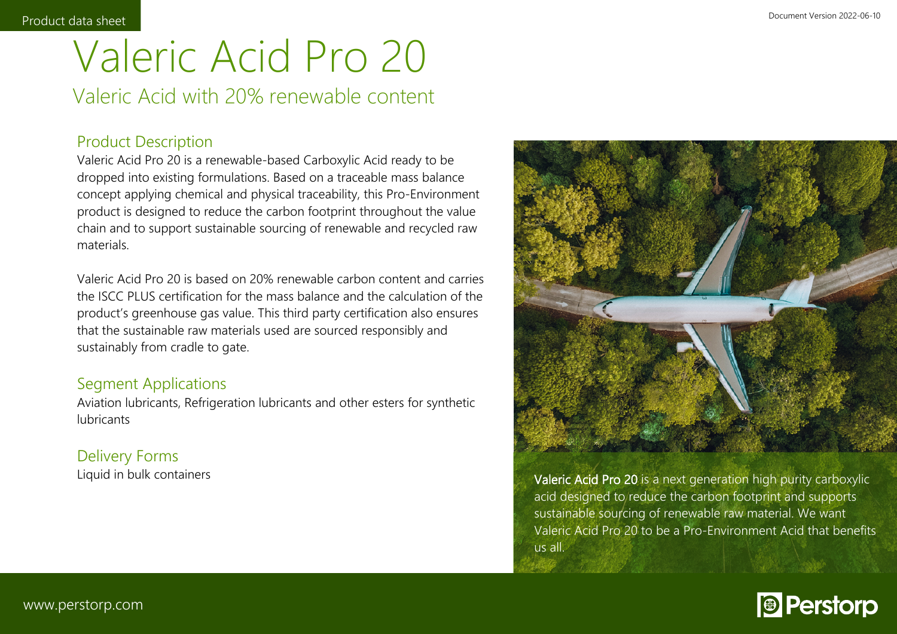## Valeric Acid Pro 20 Valeric Acid with 20% renewable content

### Product Description

Valeric Acid Pro 20 is a renewable-based Carboxylic Acid ready to be dropped into existing formulations. Based on a traceable mass balance concept applying chemical and physical traceability, this Pro-Environment product is designed to reduce the carbon footprint throughout the value chain and to support sustainable sourcing of renewable and recycled raw materials.

Valeric Acid Pro 20 is based on 20% renewable carbon content and carries the ISCC PLUS certification for the mass balance and the calculation of the product's greenhouse gas value. This third party certification also ensures that the sustainable raw materials used are sourced responsibly and sustainably from cradle to gate.

### Segment Applications

Aviation lubricants, Refrigeration lubricants and other esters for synthetic lubricants

### Delivery Forms



Liquid in bulk containers **Valeric Acid Pro 20** is a next generation high purity carboxylic acid designed to reduce the carbon footprint and supports sustainable sourcing of renewable raw material. We want Valeric Acid Pro 20 to be a Pro-Environment Acid that benefits us all.